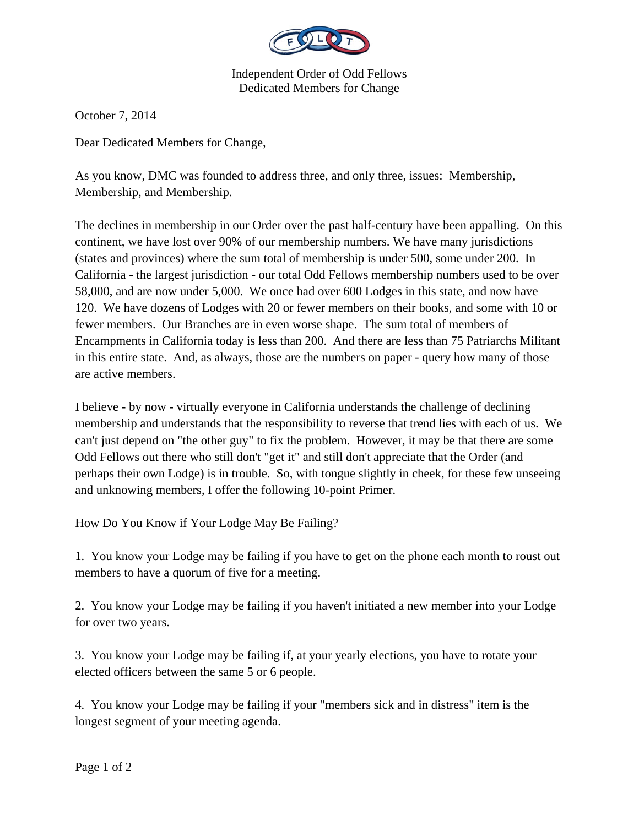

Independent Order of Odd Fellows Dedicated Members for Change

October 7, 2014

Dear Dedicated Members for Change,

As you know, DMC was founded to address three, and only three, issues: Membership, Membership, and Membership.

The declines in membership in our Order over the past half-century have been appalling. On this continent, we have lost over 90% of our membership numbers. We have many jurisdictions (states and provinces) where the sum total of membership is under 500, some under 200. In California - the largest jurisdiction - our total Odd Fellows membership numbers used to be over 58,000, and are now under 5,000. We once had over 600 Lodges in this state, and now have 120. We have dozens of Lodges with 20 or fewer members on their books, and some with 10 or fewer members. Our Branches are in even worse shape. The sum total of members of Encampments in California today is less than 200. And there are less than 75 Patriarchs Militant in this entire state. And, as always, those are the numbers on paper - query how many of those are active members.

I believe - by now - virtually everyone in California understands the challenge of declining membership and understands that the responsibility to reverse that trend lies with each of us. We can't just depend on "the other guy" to fix the problem. However, it may be that there are some Odd Fellows out there who still don't "get it" and still don't appreciate that the Order (and perhaps their own Lodge) is in trouble. So, with tongue slightly in cheek, for these few unseeing and unknowing members, I offer the following 10-point Primer.

How Do You Know if Your Lodge May Be Failing?

1. You know your Lodge may be failing if you have to get on the phone each month to roust out members to have a quorum of five for a meeting.

2. You know your Lodge may be failing if you haven't initiated a new member into your Lodge for over two years.

3. You know your Lodge may be failing if, at your yearly elections, you have to rotate your elected officers between the same 5 or 6 people.

4. You know your Lodge may be failing if your "members sick and in distress" item is the longest segment of your meeting agenda.